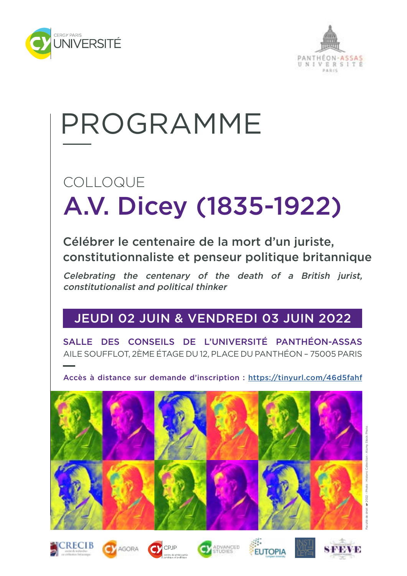



## PROGRAMME

### A.V. Dicey (1835-1922) COLLOQUE

Célébrer le centenaire de la mort d'un juriste, constitutionnaliste et penseur politique britannique

Celebrating the centenary of the death of a British jurist, constitutionalist and political thinker

### JEUDI 02 JUIN & VENDREDI 03 JUIN 2022

SALLE DES CONSEILS DE L'UNIVERSITÉ PANTHÉON-ASSAS AILE SOUFFLOT, 2ÈME ÉTAGE DU 12, PLACE DU PANTHÉON – 75005 PARIS

Accès à distance sur demande d'inscription : <https://tinyurl.com/46d5fahf>



Faculté de droit 2022 - Photo : Historic Collection - Alamy Stock Photo













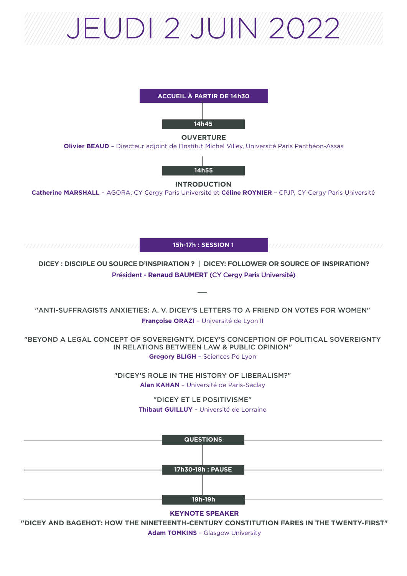# JEUDI 2 JUIN 2022



**Adam TOMKINS** – Glasgow University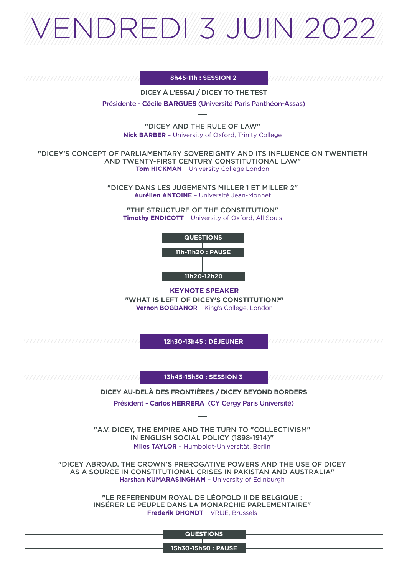

**8h45-11h : SESSION 2**

**DICEY À L'ESSAI / DICEY TO THE TEST**

Présidente - **Cécile BARGUES** (Université Paris Panthéon-Assas)

**"**DICEY AND THE RULE OF LAW**" Nick BARBER** – University of Oxford, Trinity College

**"**DICEY'S CONCEPT OF PARLIAMENTARY SOVEREIGNTY AND ITS INFLUENCE ON TWENTIETH AND TWENTY-FIRST CENTURY CONSTITUTIONAL LAW**" Tom HICKMAN** – University College London

> **"**DICEY DANS LES JUGEMENTS MILLER 1 ET MILLER 2**" Aurélien ANTOINE** – Université Jean-Monnet

**"**THE STRUCTURE OF THE CONSTITUTION**" Timothy ENDICOTT** – University of Oxford, All Souls

**QUESTIONS**

**11h-11h20 : PAUSE**

**11h20-12h20**

**KEYNOTE SPEAKER**

**"WHAT IS LEFT OF DICEY'S CONSTITUTION?" Vernon BOGDANOR** – King's College, London

**12h30-13h45 : DÉJEUNER**

**13h45-15h30 : SESSION 3**

**DICEY AU-DELÀ DES FRONTIÈRES / DICEY BEYOND BORDERS** 

Président - **Carlos HERRERA** (CY Cergy Paris Université)

**"**A.V. DICEY, THE EMPIRE AND THE TURN TO **"**COLLECTIVISM**"** IN ENGLISH SOCIAL POLICY (1898-1914)**" Miles TAYLOR** – Humboldt-Universität, Berlin

**"**DICEY ABROAD. THE CROWN'S PREROGATIVE POWERS AND THE USE OF DICEY AS A SOURCE IN CONSTITUTIONAL CRISES IN PAKISTAN AND AUSTRALIA**" Harshan KUMARASINGHAM** – University of Edinburgh

> **"**LE REFERENDUM ROYAL DE LÉOPOLD II DE BELGIQUE : INSÉRER LE PEUPLE DANS LA MONARCHIE PARLEMENTAIRE**" Frederik DHONDT** – VRIJE, Brussels

> > **QUESTIONS**

**15h30-15h50 : PAUSE**